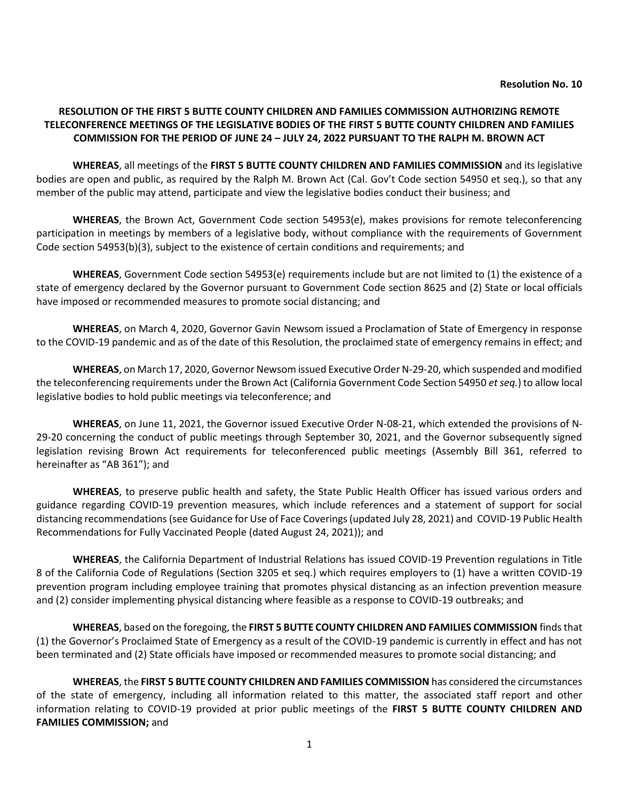## **RESOLUTION OF THE FIRST 5 BUTTE COUNTY CHILDREN AND FAMILIES COMMISSION AUTHORIZING REMOTE TELECONFERENCE MEETINGS OF THE LEGISLATIVE BODIES OF THE FIRST 5 BUTTE COUNTY CHILDREN AND FAMILIES COMMISSION FOR THE PERIOD OF JUNE 24 – JULY 24, 2022 PURSUANT TO THE RALPH M. BROWN ACT**

**WHEREAS**, all meetings of the **FIRST 5 BUTTE COUNTY CHILDREN AND FAMILIES COMMISSION** and its legislative bodies are open and public, as required by the Ralph M. Brown Act (Cal. Gov't Code section 54950 et seq.), so that any member of the public may attend, participate and view the legislative bodies conduct their business; and

**WHEREAS**, the Brown Act, Government Code section 54953(e), makes provisions for remote teleconferencing participation in meetings by members of a legislative body, without compliance with the requirements of Government Code section 54953(b)(3), subject to the existence of certain conditions and requirements; and

**WHEREAS**, Government Code section 54953(e) requirements include but are not limited to (1) the existence of a state of emergency declared by the Governor pursuant to Government Code section 8625 and (2) State or local officials have imposed or recommended measures to promote social distancing; and

**WHEREAS**, on March 4, 2020, Governor Gavin Newsom issued a Proclamation of State of Emergency in response to the COVID-19 pandemic and as of the date of this Resolution, the proclaimed state of emergency remains in effect; and

**WHEREAS**, on March 17, 2020, Governor Newsom issued Executive Order N-29-20, which suspended and modified the teleconferencing requirements under the Brown Act (California Government Code Section 54950 *et seq.*) to allow local legislative bodies to hold public meetings via teleconference; and

**WHEREAS**, on June 11, 2021, the Governor issued Executive Order N-08-21, which extended the provisions of N-29-20 concerning the conduct of public meetings through September 30, 2021, and the Governor subsequently signed legislation revising Brown Act requirements for teleconferenced public meetings (Assembly Bill 361, referred to hereinafter as "AB 361"); and

**WHEREAS**, to preserve public health and safety, the State Public Health Officer has issued various orders and guidance regarding COVID-19 prevention measures, which include references and a statement of support for social distancing recommendations (see Guidance for Use of Face Coverings (updated July 28, 2021) and COVID-19 Public Health Recommendations for Fully Vaccinated People (dated August 24, 2021)); and

**WHEREAS**, the California Department of Industrial Relations has issued COVID-19 Prevention regulations in Title 8 of the California Code of Regulations (Section 3205 et seq.) which requires employers to (1) have a written COVID-19 prevention program including employee training that promotes physical distancing as an infection prevention measure and (2) consider implementing physical distancing where feasible as a response to COVID-19 outbreaks; and

**WHEREAS**, based on the foregoing, the **FIRST 5 BUTTE COUNTY CHILDREN AND FAMILIES COMMISSION** finds that (1) the Governor's Proclaimed State of Emergency as a result of the COVID-19 pandemic is currently in effect and has not been terminated and (2) State officials have imposed or recommended measures to promote social distancing; and

**WHEREAS**, the **FIRST 5 BUTTE COUNTY CHILDREN AND FAMILIES COMMISSION** has considered the circumstances of the state of emergency, including all information related to this matter, the associated staff report and other information relating to COVID-19 provided at prior public meetings of the **FIRST 5 BUTTE COUNTY CHILDREN AND FAMILIES COMMISSION;** and